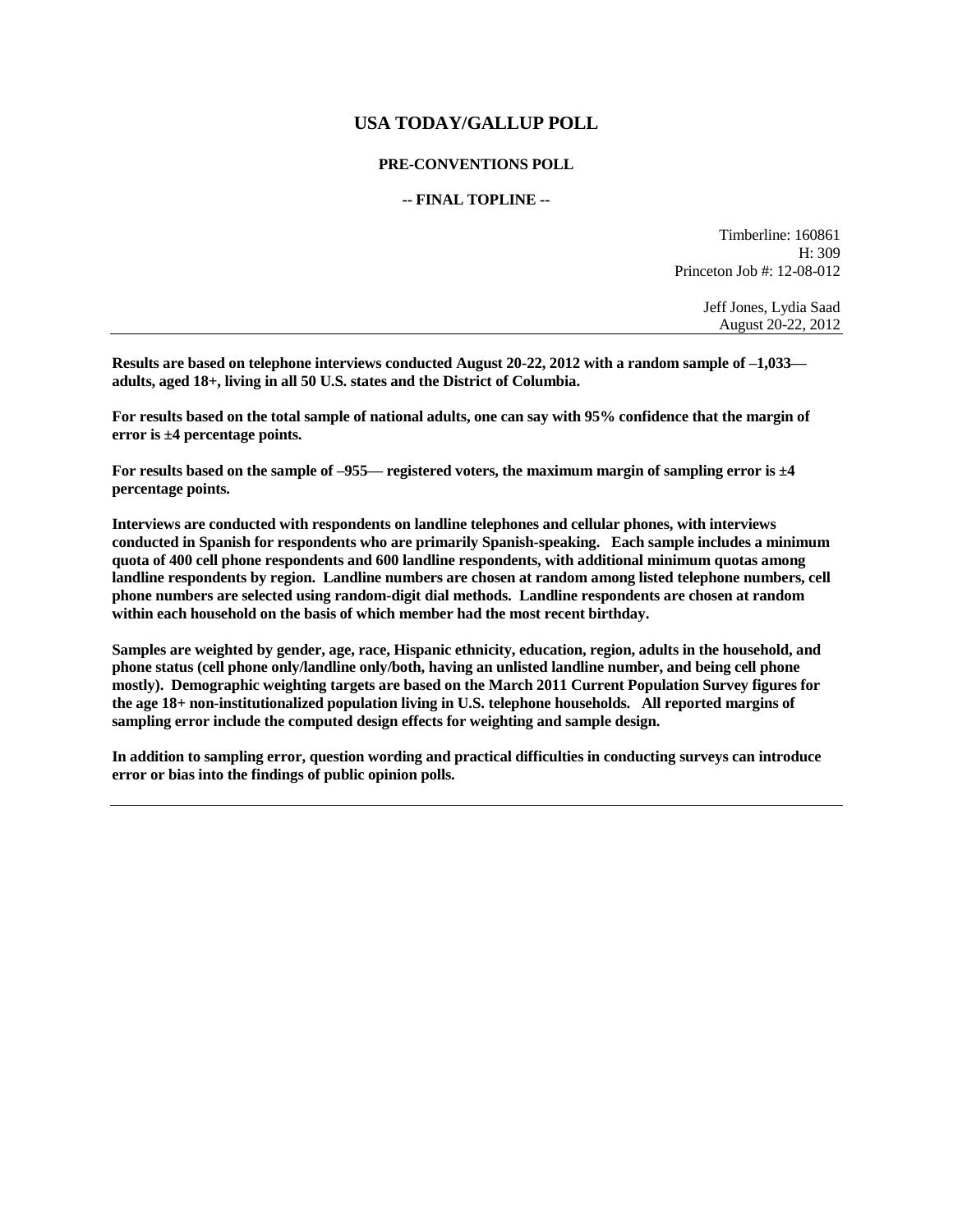# **USA TODAY/GALLUP POLL**

#### **PRE-CONVENTIONS POLL**

#### **-- FINAL TOPLINE --**

Timberline: 160861 H: 309 Princeton Job #: 12-08-012

> Jeff Jones, Lydia Saad August 20-22, 2012

**Results are based on telephone interviews conducted August 20-22, 2012 with a random sample of –1,033 adults, aged 18+, living in all 50 U.S. states and the District of Columbia.** 

**For results based on the total sample of national adults, one can say with 95% confidence that the margin of error is ±4 percentage points.**

**For results based on the sample of –955— registered voters, the maximum margin of sampling error is ±4 percentage points.**

**Interviews are conducted with respondents on landline telephones and cellular phones, with interviews conducted in Spanish for respondents who are primarily Spanish-speaking. Each sample includes a minimum quota of 400 cell phone respondents and 600 landline respondents, with additional minimum quotas among landline respondents by region. Landline numbers are chosen at random among listed telephone numbers, cell phone numbers are selected using random-digit dial methods. Landline respondents are chosen at random within each household on the basis of which member had the most recent birthday.** 

**Samples are weighted by gender, age, race, Hispanic ethnicity, education, region, adults in the household, and phone status (cell phone only/landline only/both, having an unlisted landline number, and being cell phone mostly). Demographic weighting targets are based on the March 2011 Current Population Survey figures for the age 18+ non-institutionalized population living in U.S. telephone households. All reported margins of sampling error include the computed design effects for weighting and sample design.** 

**In addition to sampling error, question wording and practical difficulties in conducting surveys can introduce error or bias into the findings of public opinion polls.**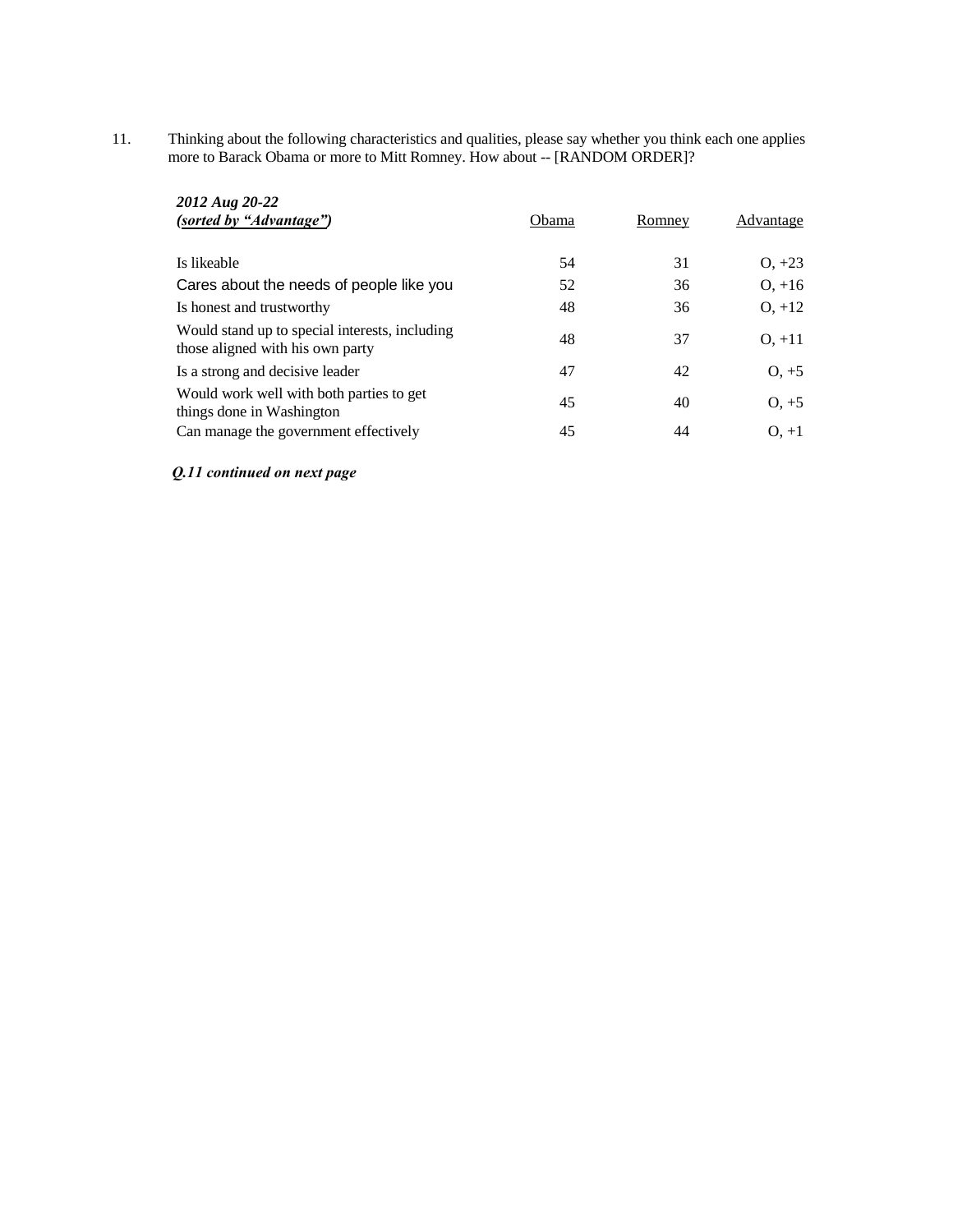11. Thinking about the following characteristics and qualities, please say whether you think each one applies more to Barack Obama or more to Mitt Romney. How about -- [RANDOM ORDER]?

| 2012 Aug 20-22<br>(sorted by "Advantage")                                          | Obama | Romney | Advantage |
|------------------------------------------------------------------------------------|-------|--------|-----------|
| Is likeable                                                                        | 54    | 31     | $O, +23$  |
| Cares about the needs of people like you                                           | 52    | 36     | $0, +16$  |
| Is honest and trustworthy                                                          | 48    | 36     | $O, +12$  |
| Would stand up to special interests, including<br>those aligned with his own party | 48    | 37     | $O, +11$  |
| Is a strong and decisive leader                                                    | 47    | 42     | $O. +5$   |
| Would work well with both parties to get<br>things done in Washington              | 45    | 40     | $O, +5$   |
| Can manage the government effectively                                              | 45    | 44     | $O. +1$   |

*Q.11 continued on next page*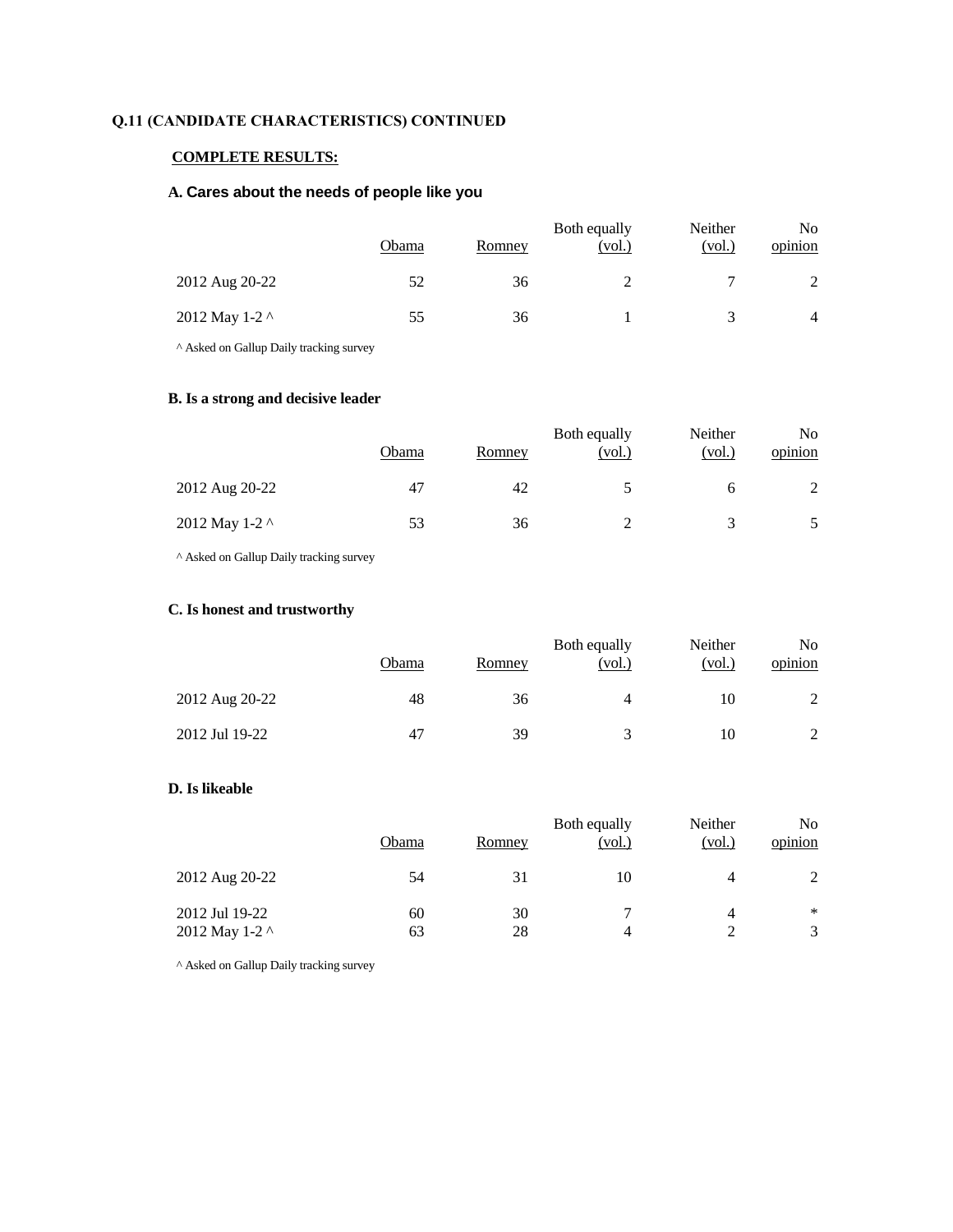# **Q.11 (CANDIDATE CHARACTERISTICS) CONTINUED**

# **COMPLETE RESULTS:**

## **A. Cares about the needs of people like you**

|                | Obama | Romney | Both equally<br><u>(vol.)</u> | Neither<br>(vol.) | No<br>opinion  |
|----------------|-------|--------|-------------------------------|-------------------|----------------|
| 2012 Aug 20-22 | 52    | 36     |                               |                   |                |
| 2012 May 1-2 ^ | 55    | 36     |                               |                   | $\overline{4}$ |

^ Asked on Gallup Daily tracking survey

## **B. Is a strong and decisive leader**

|                | Obama | Romney | Both equally<br>(vol.) | Neither<br>(vol.) | No<br>opinion |
|----------------|-------|--------|------------------------|-------------------|---------------|
| 2012 Aug 20-22 | 47    | 42     |                        |                   |               |
| 2012 May 1-2 ^ | 53    | 36     |                        |                   |               |

^ Asked on Gallup Daily tracking survey

## **C. Is honest and trustworthy**

|                | Obama | Romney | Both equally<br>(vol.) | Neither<br>(vol.) | No<br>opinion |
|----------------|-------|--------|------------------------|-------------------|---------------|
| 2012 Aug 20-22 | 48    | 36     | 4                      | 10                |               |
| 2012 Jul 19-22 | 47    | 39     |                        | 10                |               |

# **D. Is likeable**

|                                  | Obama    | Romney   | Both equally<br>(vol.) | Neither<br>(vol.) | No.<br>opinion |
|----------------------------------|----------|----------|------------------------|-------------------|----------------|
| 2012 Aug 20-22                   | 54       | 31       | 10                     | 4                 | 2              |
| 2012 Jul 19-22<br>2012 May 1-2 ^ | 60<br>63 | 30<br>28 | 4                      | 4<br>っ            | ∗<br>3         |

^ Asked on Gallup Daily tracking survey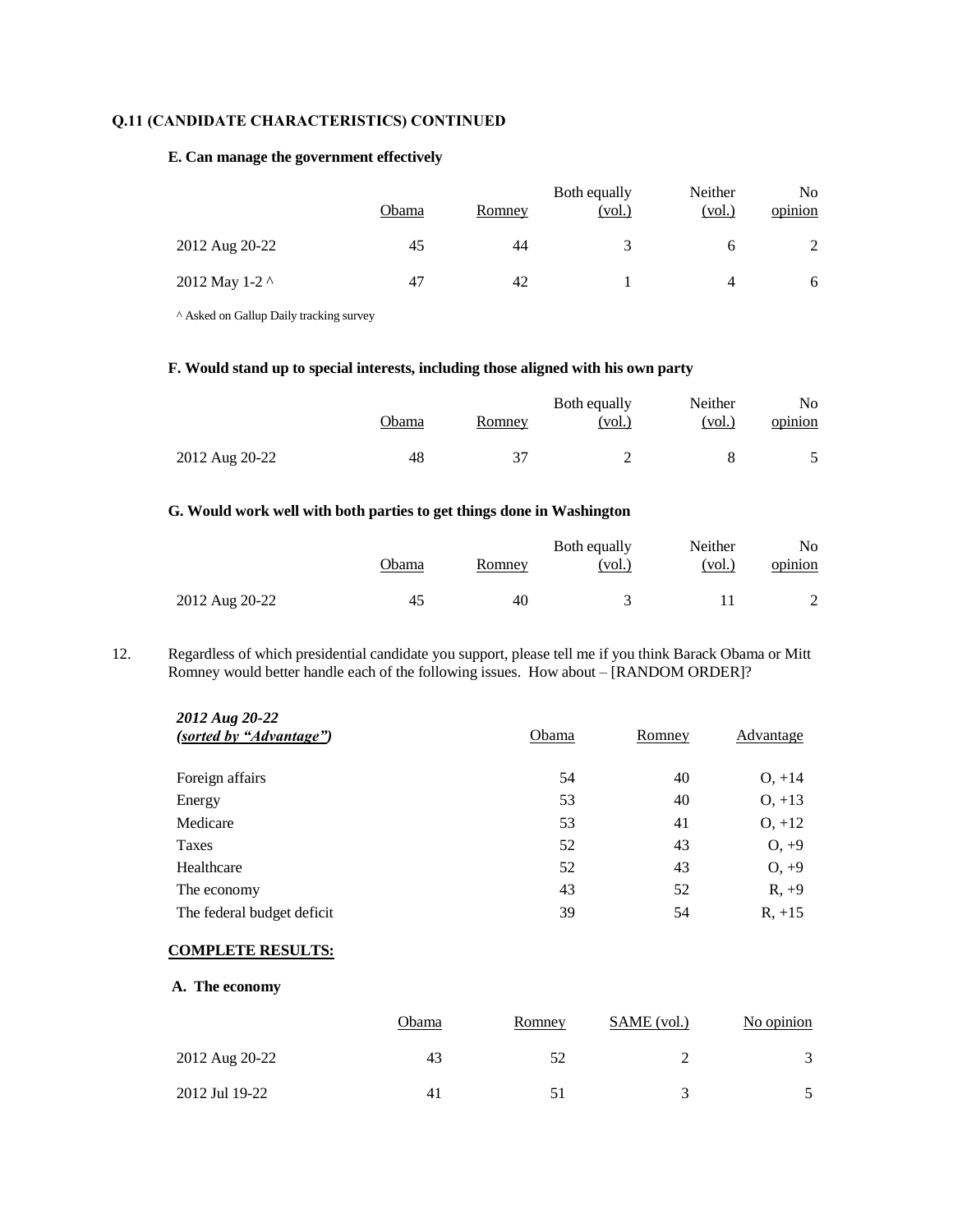# **Q.11 (CANDIDATE CHARACTERISTICS) CONTINUED**

### **E. Can manage the government effectively**

|                | Obama | Romney | Both equally<br>(vol.) | Neither<br>(vol.) | No<br>opinion |
|----------------|-------|--------|------------------------|-------------------|---------------|
| 2012 Aug 20-22 | 45    | 44     |                        |                   |               |
| 2012 May 1-2 ^ | 47    | 42     |                        | Δ                 | 6             |

^ Asked on Gallup Daily tracking survey

# **F. Would stand up to special interests, including those aligned with his own party**

|                | Obama | Romney | Both equally<br>(vol.) | Neither<br>(vol.) | No<br>opinion |
|----------------|-------|--------|------------------------|-------------------|---------------|
| 2012 Aug 20-22 | 48    |        |                        |                   |               |

## **G. Would work well with both parties to get things done in Washington**

|                | <b>Obama</b> | Romney | Both equally<br>(vol.) | Neither<br>(vol.) | No.<br>opinion |
|----------------|--------------|--------|------------------------|-------------------|----------------|
| 2012 Aug 20-22 | 45           | 40     |                        |                   |                |

12. Regardless of which presidential candidate you support, please tell me if you think Barack Obama or Mitt Romney would better handle each of the following issues. How about – [RANDOM ORDER]?

| 2012 Aug 20-22<br>(sorted by "Advantage") | Obama | Romney | Advantage |
|-------------------------------------------|-------|--------|-----------|
| Foreign affairs                           | 54    | 40     | $O, +14$  |
| Energy                                    | 53    | 40     | $O, +13$  |
| Medicare                                  | 53    | 41     | $O, +12$  |
| Taxes                                     | 52    | 43     | $O, +9$   |
| Healthcare                                | 52    | 43     | $0, +9$   |
| The economy                               | 43    | 52     | $R, +9$   |
| The federal budget deficit                | 39    | 54     | $R, +15$  |

### **COMPLETE RESULTS:**

**A. The economy**

|                | Obama | Romney | SAME (vol.)          | No opinion    |
|----------------|-------|--------|----------------------|---------------|
| 2012 Aug 20-22 | 43    |        |                      | $\mathcal{R}$ |
| 2012 Jul 19-22 | 41    |        | $\ddot{\phantom{1}}$ |               |